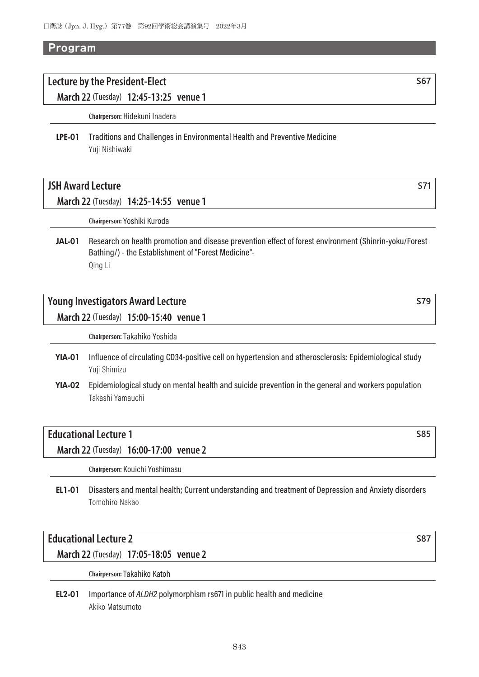#### *Program*

# **Lecture by the President-Elect S67**

**March 22** (Tuesday) **12:45-13:25 venue 1**

**Chairperson:** Hidekuni Inadera

LPE-01 Traditions and Challenges in Environmental Health and Preventive Medicine Yuji Nishiwaki

# **JSH** Award Lecture **S71**

#### **March 22** (Tuesday) **14:25-14:55 venue 1**

**Chairperson:** Yoshiki Kuroda

JAL-01 Research on health promotion and disease prevention effect of forest environment (Shinrin-yoku/Forest Bathing/) - the Establishment of "Forest Medicine"- Qing Li

# **Young Investigators Award Lecture S79**

**March 22** (Tuesday) **15:00-15:40 venue 1**

**Chairperson:** Takahiko Yoshida

- YIA-01 Influence of circulating CD34-positive cell on hypertension and atherosclerosis: Epidemiological study Yuji Shimizu
- YIA-02 Epidemiological study on mental health and suicide prevention in the general and workers population Takashi Yamauchi

# **Educational Lecture 1** S85

**March 22** (Tuesday) **16:00-17:00 venue 2**

**Chairperson:** Kouichi Yoshimasu

EL1-01 Disasters and mental health; Current understanding and treatment of Depression and Anxiety disorders Tomohiro Nakao

# **Educational Lecture 2** S87

**March 22** (Tuesday) **17:05-18:05 venue 2**

**Chairperson:** Takahiko Katoh

EL2-01 Importance of *ALDH2* polymorphism rs671 in public health and medicine Akiko Matsumoto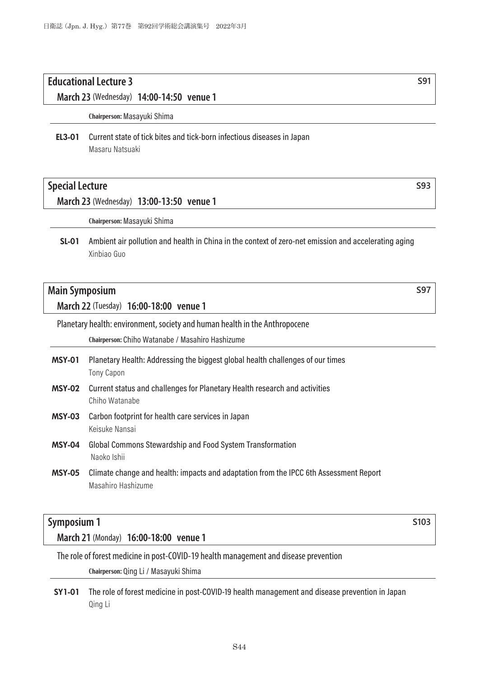# **Educational Lecture 3** S91

**March 23** (Wednesday) **14:00-14:50 venue 1**

**Chairperson:** Masayuki Shima

### EL3-01 Current state of tick bites and tick-born infectious diseases in Japan Masaru Natsuaki

### **Special Lecture S93**

#### **March 23** (Wednesday) **13:00-13:50 venue 1**

**Chairperson:** Masayuki Shima

SL-01 Ambient air pollution and health in China in the context of zero-net emission and accelerating aging Xinbiao Guo

# **Main Symposium** Service Service Service Service Service Service Service Service Service Service Service Service Service Service Service Service Service Service Service Service Service Service Service Service Service Servi

**March 22** (Tuesday) **16:00-18:00 venue 1**

Planetary health: environment, society and human health in the Anthropocene

**Chairperson:** Chiho Watanabe / Masahiro Hashizume

- MSY-01 Planetary Health: Addressing the biggest global health challenges of our times Tony Capon
- MSY-02 Current status and challenges for Planetary Health research and activities Chiho Watanabe
- MSY-03 Carbon footprint for health care services in Japan Keisuke Nansai
- MSY-04 Global Commons Stewardship and Food System Transformation Naoko Ishii
- MSY-05 Climate change and health: impacts and adaptation from the IPCC 6th Assessment Report Masahiro Hashizume

# **Symposium 1 Symposium 1**

**March 21** (Monday) **16:00-18:00 venue 1**

The role of forest medicine in post-COVID-19 health management and disease prevention

**Chairperson:** Qing Li / Masayuki Shima

SY1-01 The role of forest medicine in post-COVID-19 health management and disease prevention in Japan Qing Li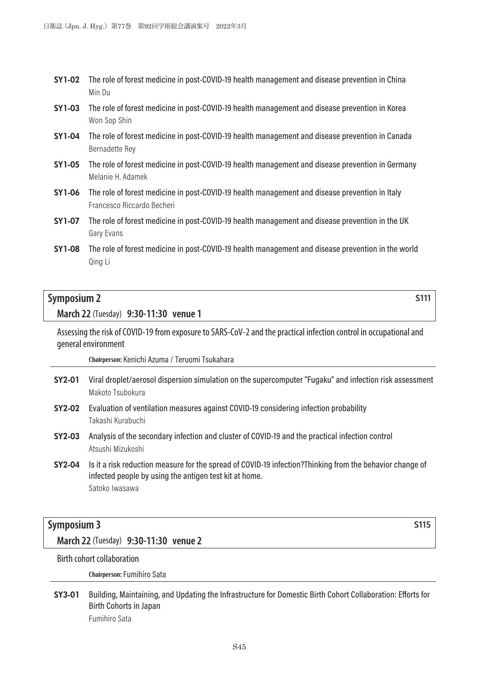- SY1-02 The role of forest medicine in post-COVID-19 health management and disease prevention in China Min Du
- SY1-03 The role of forest medicine in post-COVID-19 health management and disease prevention in Korea Won Sop Shin
- SY1-04 The role of forest medicine in post-COVID-19 health management and disease prevention in Canada Bernadette Rey
- SY1-05 The role of forest medicine in post-COVID-19 health management and disease prevention in Germany Melanie H. Adamek
- SY1-06 The role of forest medicine in post-COVID-19 health management and disease prevention in Italy Francesco Riccardo Becheri
- SY1-07 The role of forest medicine in post-COVID-19 health management and disease prevention in the UK Gary Evans
- SY1-08 The role of forest medicine in post-COVID-19 health management and disease prevention in the world Qing Li

# **Symposium 2** Symposium 2

**March 22** (Tuesday) **9:30-11:30 venue 1**

Assessing the risk of COVID-19 from exposure to SARS-CoV-2 and the practical infection control in occupational and general environment

**Chairperson:** Kenichi Azuma / Teruomi Tsukahara

- SY2-01 Viral droplet/aerosol dispersion simulation on the supercomputer "Fugaku" and infection risk assessment Makoto Tsubokura
- SY2-02 Evaluation of ventilation measures against COVID-19 considering infection probability Takashi Kurabuchi
- SY2-03 Analysis of the secondary infection and cluster of COVID-19 and the practical infection control Atsushi Mizukoshi
- SY2-04 Is it a risk reduction measure for the spread of COVID-19 infection?Thinking from the behavior change of infected people by using the antigen test kit at home. Satoko Iwasawa

# **Symposium 3 S115**

**March 22** (Tuesday) **9:30-11:30 venue 2**

Birth cohort collaboration

**Chairperson:** Fumihiro Sata

SY3-01 Building, Maintaining, and Updating the Infrastructure for Domestic Birth Cohort Collaboration: Efforts for Birth Cohorts in Japan Fumihiro Sata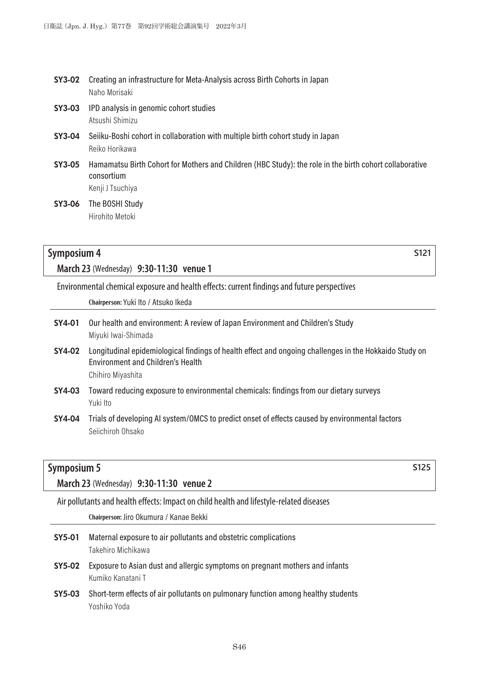- SY3-02 Creating an infrastructure for Meta-Analysis across Birth Cohorts in Japan Naho Morisaki
- SY3-03 IPD analysis in genomic cohort studies Atsushi Shimizu
- SY3-04 Seiiku-Boshi cohort in collaboration with multiple birth cohort study in Japan Reiko Horikawa
- SY3-05 Hamamatsu Birth Cohort for Mothers and Children (HBC Study): the role in the birth cohort collaborative consortium Kenji J Tsuchiya
- SY3-06 The BOSHI Study Hirohito Metoki

# **Symposium 4 S121**

**March 23** (Wednesday) **9:30-11:30 venue 1**

Environmental chemical exposure and health effects: current findings and future perspectives

**Chairperson:** Yuki Ito / Atsuko Ikeda

- SY4-01 Our health and environment: A review of Japan Environment and Children's Study Miyuki Iwai-Shimada
- SY4-02 Longitudinal epidemiological findings of health effect and ongoing challenges in the Hokkaido Study on Environment and Children's Health Chihiro Miyashita
- SY4-03 Toward reducing exposure to environmental chemicals: findings from our dietary surveys Yuki Ito
- SY4-04 Trials of developing AI system/OMCS to predict onset of effects caused by environmental factors Seiichiroh Ohsako

# **Symposium 5 S125**

**March 23** (Wednesday) **9:30-11:30 venue 2**

Air pollutants and health effects: Impact on child health and lifestyle-related diseases

**Chairperson:** Jiro Okumura / Kanae Bekki

- SY5-01 Maternal exposure to air pollutants and obstetric complications Takehiro Michikawa
- SY5-02 Exposure to Asian dust and allergic symptoms on pregnant mothers and infants Kumiko Kanatani T
- SY5-03 Short-term effects of air pollutants on pulmonary function among healthy students Yoshiko Yoda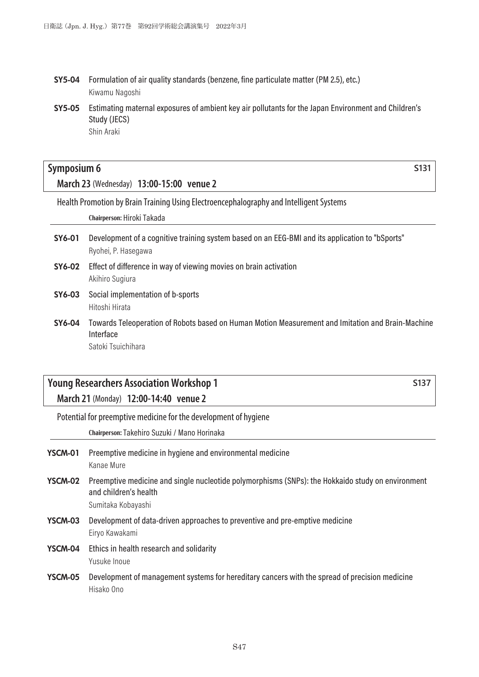- SY5-04 Formulation of air quality standards (benzene, fine particulate matter (PM 2.5), etc.) Kiwamu Nagoshi
- SY5-05 Estimating maternal exposures of ambient key air pollutants for the Japan Environment and Children's Study (JECS) Shin Araki

# **Symposium 6 Symposium 6 Symposium 6 S131**

**March 23** (Wednesday) **13:00-15:00 venue 2**

Health Promotion by Brain Training Using Electroencephalography and Intelligent Systems

**Chairperson:** Hiroki Takada

- SY6-01 Development of a cognitive training system based on an EEG-BMI and its application to "bSports" Ryohei, P. Hasegawa
- SY6-02 Effect of difference in way of viewing movies on brain activation Akihiro Sugiura
- SY6-03 Social implementation of b-sports Hitoshi Hirata
- SY6-04 Towards Teleoperation of Robots based on Human Motion Measurement and Imitation and Brain-Machine Interface Satoki Tsuichihara

# **Young Researchers Association Workshop 1 S137 March 21** (Monday) **12:00-14:40 venue 2**

Potential for preemptive medicine for the development of hygiene

**Chairperson:** Takehiro Suzuki / Mano Horinaka

- YSCM-01 Preemptive medicine in hygiene and environmental medicine Kanae Mure
- YSCM-02 Preemptive medicine and single nucleotide polymorphisms (SNPs): the Hokkaido study on environment and children's health Sumitaka Kobayashi
- YSCM-03 Development of data-driven approaches to preventive and pre-emptive medicine Eiryo Kawakami
- YSCM-04 Ethics in health research and solidarity Yusuke Inoue
- YSCM-05 Development of management systems for hereditary cancers with the spread of precision medicine Hisako Ono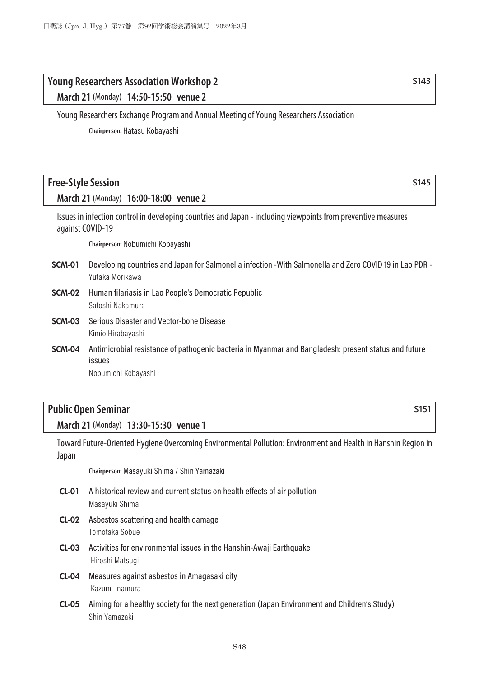# **Young Researchers Association Workshop 2 S143**

**March 21** (Monday) **14:50-15:50 venue 2**

Young Researchers Exchange Program and Annual Meeting of Young Researchers Association

**Chairperson:** Hatasu Kobayashi

# **Free-Style Session S145**

**March 21** (Monday) **16:00-18:00 venue 2**

Issues in infection control in developing countries and Japan - including viewpoints from preventive measures against COVID-19

**Chairperson:** Nobumichi Kobayashi

- SCM-01 Developing countries and Japan for Salmonella infection -With Salmonella and Zero COVID 19 in Lao PDR Yutaka Morikawa
- SCM-02 Human filariasis in Lao People's Democratic Republic Satoshi Nakamura
- SCM-03 Serious Disaster and Vector-bone Disease Kimio Hirabayashi
- SCM-04 Antimicrobial resistance of pathogenic bacteria in Myanmar and Bangladesh: present status and future issues

Nobumichi Kobayashi

# **Public Open Seminar S151**

**March 21** (Monday) **13:30-15:30 venue 1**

Toward Future-Oriented Hygiene Overcoming Environmental Pollution: Environment and Health in Hanshin Region in Japan

**Chairperson:** Masayuki Shima / Shin Yamazaki

- CL-01 A historical review and current status on health effects of air pollution Masayuki Shima
- CL-02 Asbestos scattering and health damage Tomotaka Sobue
- CL-03 Activities for environmental issues in the Hanshin-Awaji Earthquake Hiroshi Matsugi
- CL-04 Measures against asbestos in Amagasaki city Kazumi Inamura
- CL-05 Aiming for a healthy society for the next generation (Japan Environment and Children's Study) Shin Yamazaki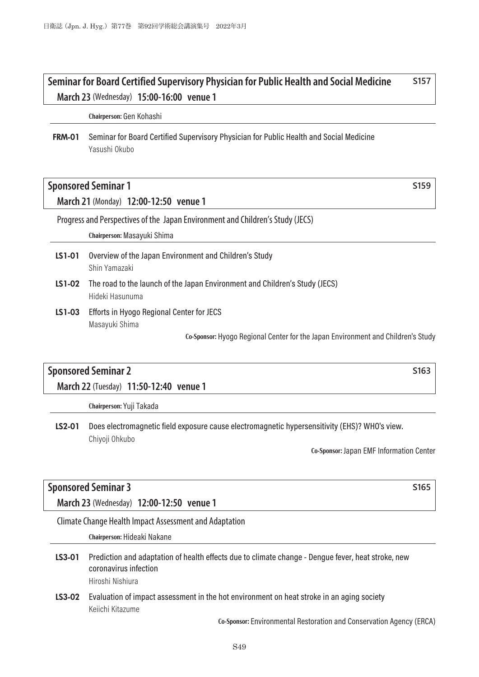# **Seminar for Board Certified Supervisory Physician for Public Health and Social Medicine S157 March 23** (Wednesday) **15:00-16:00 venue 1**

**Chairperson:** Gen Kohashi

FRM-01 Seminar for Board Certified Supervisory Physician for Public Health and Social Medicine Yasushi Okubo

# **Sponsored Seminar 1** States Seminar 1 States Seminar 2 States Seminar 2 States Seminar 2 States Seminar 2 States Seminar 2 States Seminar 2 States Seminar 2 States Seminar 2 States Seminar 2 States Seminar 2 States Semina

**March 21** (Monday) **12:00-12:50 venue 1**

Progress and Perspectives of the Japan Environment and Children's Study (JECS)

**Chairperson:** Masayuki Shima

- LS1-01 Overview of the Japan Environment and Children's Study Shin Yamazaki
- LS1-02 The road to the launch of the Japan Environment and Children's Study (JECS) Hideki Hasunuma
- LS1-03 Efforts in Hyogo Regional Center for JECS Masayuki Shima

**Co-Sponsor:** Hyogo Regional Center for the Japan Environment and Children's Study

# **Sponsored Seminar 2** S163

**March 22** (Tuesday) **11:50-12:40 venue 1**

**Chairperson:** Yuji Takada

LS2-01 Does electromagnetic field exposure cause electromagnetic hypersensitivity (EHS)? WHO's view. Chiyoji Ohkubo

**Co-Sponsor:** Japan EMF Information Center

### **Sponsored Seminar 3 S165**

**March 23** (Wednesday) **12:00-12:50 venue 1**

Climate Change Health Impact Assessment and Adaptation

**Chairperson:** Hideaki Nakane

- LS3-01 Prediction and adaptation of health effects due to climate change Dengue fever, heat stroke, new coronavirus infection Hiroshi Nishiura
- LS3-02 Evaluation of impact assessment in the hot environment on heat stroke in an aging society Keiichi Kitazume

**Co-Sponsor:** Environmental Restoration and Conservation Agency (ERCA)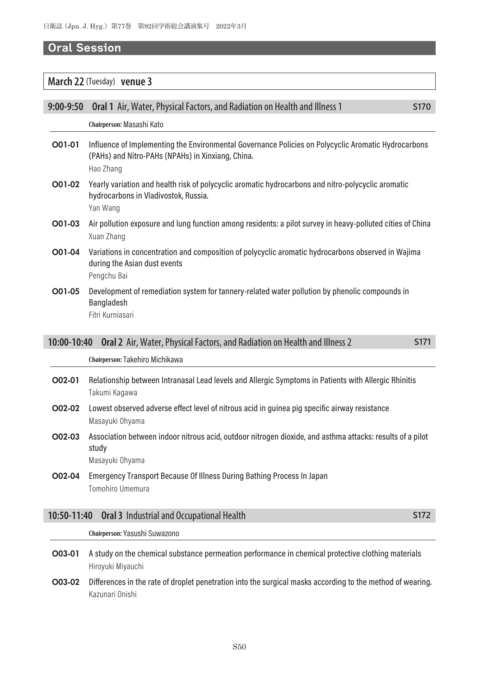#### *Oral Session*

#### **March 22** (Tuesday) **venue 3**

| $9:00 - 9:50$ | <b>Oral 1</b> Air, Water, Physical Factors, and Radiation on Health and Illness 1                                                                                     | S <sub>170</sub> |
|---------------|-----------------------------------------------------------------------------------------------------------------------------------------------------------------------|------------------|
|               | Chairperson: Masashi Kato                                                                                                                                             |                  |
| O01-01        | Influence of Implementing the Environmental Governance Policies on Polycyclic Aromatic Hydrocarbons<br>(PAHs) and Nitro-PAHs (NPAHs) in Xinxiang, China.<br>Hao Zhang |                  |
| O01-02        | Yearly variation and health risk of polycyclic aromatic hydrocarbons and nitro-polycyclic aromatic<br>hydrocarbons in Vladivostok, Russia.<br>Yan Wang                |                  |
| O01-03        | Air pollution exposure and lung function among residents: a pilot survey in heavy-polluted cities of China<br>Xuan Zhang                                              |                  |
| O01-04        | Variations in concentration and composition of polycyclic aromatic hydrocarbons observed in Wajima<br>during the Asian dust events<br>Pengchu Bai                     |                  |
| O01-05        | Development of remediation system for tannery-related water pollution by phenolic compounds in<br>Bangladesh<br>Fitri Kurniasari                                      |                  |
| 10:00-10:40   | Oral 2 Air, Water, Physical Factors, and Radiation on Health and Illness 2                                                                                            | S <sub>171</sub> |
|               | Chairperson: Takehiro Michikawa                                                                                                                                       |                  |

- O02-01 Relationship between Intranasal Lead levels and Allergic Symptoms in Patients with Allergic Rhinitis Takumi Kagawa
- O02-02 Lowest observed adverse effect level of nitrous acid in guinea pig specific airway resistance Masayuki Ohyama
- O02-03 Association between indoor nitrous acid, outdoor nitrogen dioxide, and asthma attacks: results of a pilot study Masayuki Ohyama
- O02-04 Emergency Transport Because Of Illness During Bathing Process In Japan Tomohiro Umemura

|  | 10:50-11:40 Oral 3 Industrial and Occupational Health |  |
|--|-------------------------------------------------------|--|
|--|-------------------------------------------------------|--|

**Chairperson:** Yasushi Suwazono

- O03-01 A study on the chemical substance permeation performance in chemical protective clothing materials Hiroyuki Miyauchi
- O03-02 Differences in the rate of droplet penetration into the surgical masks according to the method of wearing. Kazunari Onishi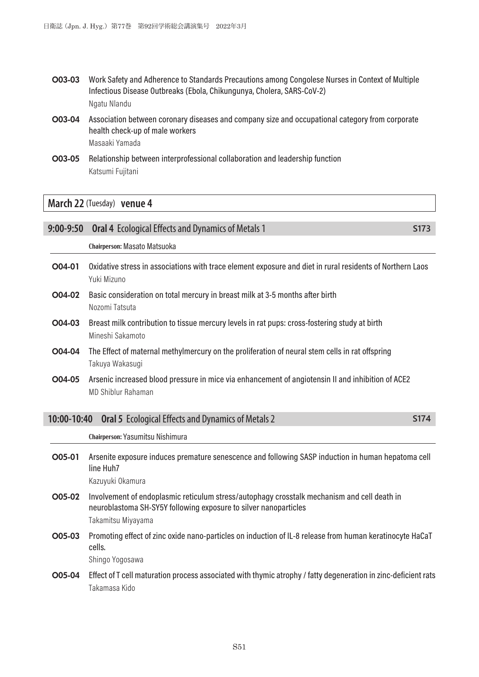- O03-03 Work Safety and Adherence to Standards Precautions among Congolese Nurses in Context of Multiple Infectious Disease Outbreaks (Ebola, Chikungunya, Cholera, SARS-CoV-2) Ngatu Nlandu
- O03-04 Association between coronary diseases and company size and occupational category from corporate health check-up of male workers Masaaki Yamada
- O03-05 Relationship between interprofessional collaboration and leadership function Katsumi Fujitani

#### **March 22** (Tuesday) **venue 4**

# **Chairperson:** Masato Matsuoka O04-01 Oxidative stress in associations with trace element exposure and diet in rural residents of Northern Laos Yuki Mizuno O04-02 Basic consideration on total mercury in breast milk at 3-5 months after birth Nozomi Tatsuta O04-03 Breast milk contribution to tissue mercury levels in rat pups: cross-fostering study at birth Mineshi Sakamoto O04-04 The Effect of maternal methylmercury on the proliferation of neural stem cells in rat offspring

**9:00-9:50** Oral 4 Ecological Effects and Dynamics of Metals 1 **S173** S173

O04-05 Arsenic increased blood pressure in mice via enhancement of angiotensin II and inhibition of ACE2 MD Shiblur Rahaman

| 10:00-10:40 Oral 5 Ecological Effects and Dynamics of Metals 2 | S174 |
|----------------------------------------------------------------|------|
|                                                                |      |

**Chairperson:** Yasumitsu Nishimura

O05-01 Arsenite exposure induces premature senescence and following SASP induction in human hepatoma cell line Huh7

Kazuyuki Okamura

Takuya Wakasugi

- O05-02 Involvement of endoplasmic reticulum stress/autophagy crosstalk mechanism and cell death in neuroblastoma SH-SY5Y following exposure to silver nanoparticles Takamitsu Miyayama
- O05-03 Promoting effect of zinc oxide nano-particles on induction of IL-8 release from human keratinocyte HaCaT cells. Shingo Yogosawa
- O05-04 Effect of T cell maturation process associated with thymic atrophy / fatty degeneration in zinc-deficient rats Takamasa Kido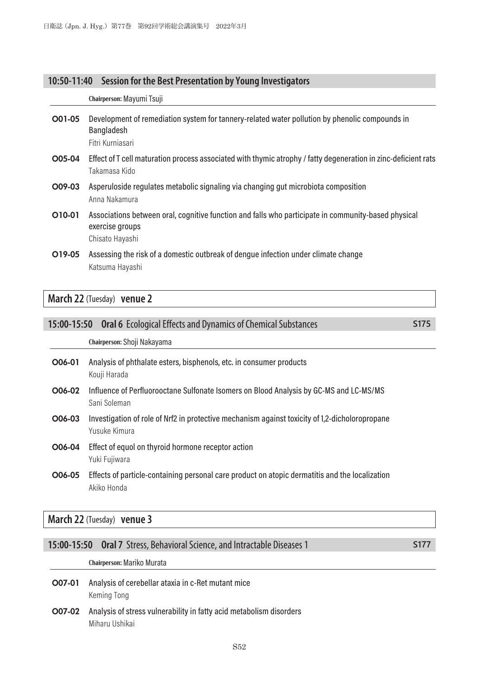### **10:50-11:40 Session for the Best Presentation by Young Investigators**

|        | Chairperson: Mayumi Tsuji                                                                                                                 |
|--------|-------------------------------------------------------------------------------------------------------------------------------------------|
| O01-05 | Development of remediation system for tannery-related water pollution by phenolic compounds in<br>Bangladesh<br>Fitri Kurniasari          |
| O05-04 | Effect of T cell maturation process associated with thymic atrophy / fatty degeneration in zinc-deficient rats<br>Takamasa Kido           |
| O09-03 | Asperuloside regulates metabolic signaling via changing gut microbiota composition<br>Anna Nakamura                                       |
| O10-01 | Associations between oral, cognitive function and falls who participate in community-based physical<br>exercise groups<br>Chisato Hayashi |
| O19-05 | Assessing the risk of a domestic outbreak of dengue infection under climate change                                                        |

**March 22** (Tuesday) **venue 2**

Katsuma Hayashi

| 15:00-15:50 | <b>Oral 6</b> Ecological Effects and Dynamics of Chemical Substances                                   | S175 |
|-------------|--------------------------------------------------------------------------------------------------------|------|
|             | Chairperson: Shoji Nakayama                                                                            |      |
| O06-01      | Analysis of phthalate esters, bisphenols, etc. in consumer products<br>Kouji Harada                    |      |
| O06-02      | Influence of Perfluorooctane Sulfonate Isomers on Blood Analysis by GC-MS and LC-MS/MS<br>Sani Soleman |      |

- O06-03 Investigation of role of Nrf2 in protective mechanism against toxicity of 1,2-dicholoropropane Yusuke Kimura
- O06-04 Effect of equol on thyroid hormone receptor action Yuki Fujiwara
- O06-05 Effects of particle-containing personal care product on atopic dermatitis and the localization Akiko Honda

**March 22** (Tuesday) **venue 3**

#### **15:00-15:50 Oral 7** Stress, Behavioral Science, and Intractable Diseases 1 **S177**

**Chairperson:** Mariko Murata

- O07-01 Analysis of cerebellar ataxia in c-Ret mutant mice Keming Tong
- O07-02 Analysis of stress vulnerability in fatty acid metabolism disorders Miharu Ushikai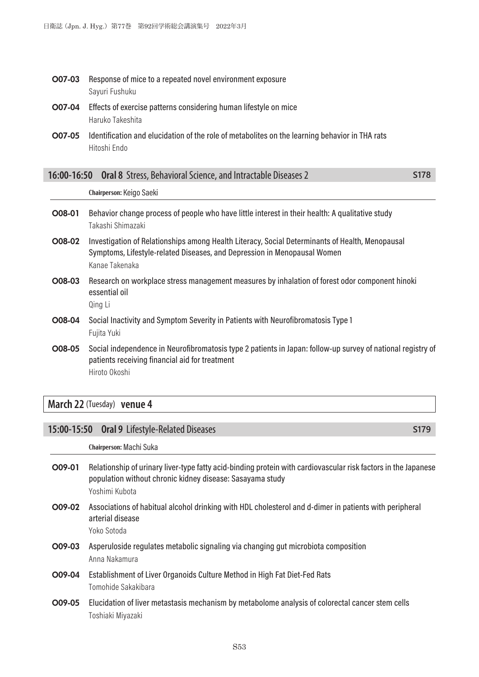- O07-03 Response of mice to a repeated novel environment exposure Sayuri Fushuku
- O07-04 Effects of exercise patterns considering human lifestyle on mice Haruko Takeshita
- O07-05 Identification and elucidation of the role of metabolites on the learning behavior in THA rats Hitoshi Endo

|        | Chairperson: Keigo Saeki                                                                                                                                                                      |
|--------|-----------------------------------------------------------------------------------------------------------------------------------------------------------------------------------------------|
| O08-01 | Behavior change process of people who have little interest in their health: A qualitative study<br>Takashi Shimazaki                                                                          |
| O08-02 | Investigation of Relationships among Health Literacy, Social Determinants of Health, Menopausal<br>Symptoms, Lifestyle-related Diseases, and Depression in Menopausal Women<br>Kanae Takenaka |
| O08-03 | Research on workplace stress management measures by inhalation of forest odor component hinoki<br>essential oil<br>Qing Li                                                                    |

**16:00-16:50 Oral 8** Stress, Behavioral Science, and Intractable Diseases 2 **S178**

- O08-04 Social Inactivity and Symptom Severity in Patients with Neurofibromatosis Type 1 Fujita Yuki
- O08-05 Social independence in Neurofibromatosis type 2 patients in Japan: follow-up survey of national registry of patients receiving financial aid for treatment Hiroto Okoshi

# **March 22** (Tuesday) **venue 4**

#### **15:00-15:50 Oral 9** Lifestyle-Related Diseases **S179**

**Chairperson:** Machi Suka

- O09-01 Relationship of urinary liver-type fatty acid-binding protein with cardiovascular risk factors in the Japanese population without chronic kidney disease: Sasayama study Yoshimi Kubota
- O09-02 Associations of habitual alcohol drinking with HDL cholesterol and d-dimer in patients with peripheral arterial disease Yoko Sotoda
- O09-03 Asperuloside regulates metabolic signaling via changing gut microbiota composition Anna Nakamura
- O09-04 Establishment of Liver Organoids Culture Method in High Fat Diet-Fed Rats Tomohide Sakakibara
- O09-05 Elucidation of liver metastasis mechanism by metabolome analysis of colorectal cancer stem cells Toshiaki Miyazaki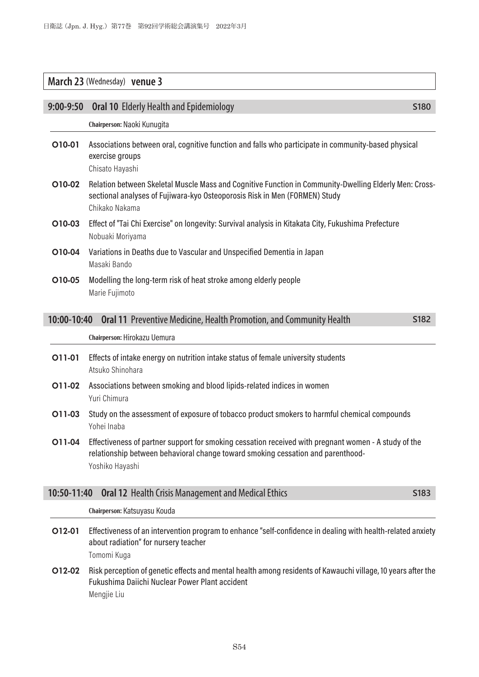# **March 23** (Wednesday) **venue 3**

| $9:00 - 9:50$ | <b>Oral 10 Elderly Health and Epidemiology</b>                                                                                                                                                             | S180 |
|---------------|------------------------------------------------------------------------------------------------------------------------------------------------------------------------------------------------------------|------|
|               | Chairperson: Naoki Kunugita                                                                                                                                                                                |      |
| O10-01        | Associations between oral, cognitive function and falls who participate in community-based physical<br>exercise groups<br>Chisato Hayashi                                                                  |      |
| O10-02        | Relation between Skeletal Muscle Mass and Cognitive Function in Community-Dwelling Elderly Men: Cross-<br>sectional analyses of Fujiwara-kyo Osteoporosis Risk in Men (FORMEN) Study<br>Chikako Nakama     |      |
| O10-03        | Effect of "Tai Chi Exercise" on longevity: Survival analysis in Kitakata City, Fukushima Prefecture<br>Nobuaki Moriyama                                                                                    |      |
| O10-04        | Variations in Deaths due to Vascular and Unspecified Dementia in Japan<br>Masaki Bando                                                                                                                     |      |
| O10-05        | Modelling the long-term risk of heat stroke among elderly people<br>Marie Fujimoto                                                                                                                         |      |
| 10:00-10:40   | Oral 11 Preventive Medicine, Health Promotion, and Community Health                                                                                                                                        | S182 |
|               | Chairperson: Hirokazu Uemura                                                                                                                                                                               |      |
| 011-01        | Effects of intake energy on nutrition intake status of female university students<br>Atsuko Shinohara                                                                                                      |      |
| O11-02        | Associations between smoking and blood lipids-related indices in women<br>Yuri Chimura                                                                                                                     |      |
| O11-03        | Study on the assessment of exposure of tobacco product smokers to harmful chemical compounds<br>Yohei Inaba                                                                                                |      |
| O11-04        | Effectiveness of partner support for smoking cessation received with pregnant women - A study of the<br>relationship between behavioral change toward smoking cessation and parenthood-<br>Yoshiko Hayashi |      |
| 10:50-11:40   | <b>Oral 12 Health Crisis Management and Medical Ethics</b>                                                                                                                                                 | S183 |
|               | Chairperson: Katsuyasu Kouda                                                                                                                                                                               |      |
| 012-01        | Effectiveness of an intervention program to enhance "self-confidence in dealing with health-related anxiety<br>about radiation" for nursery teacher<br>Tomomi Kuga                                         |      |
| O12-02        | Risk perception of genetic effects and mental health among residents of Kawauchi village, 10 years after the                                                                                               |      |

Fukushima Daiichi Nuclear Power Plant accident Mengjie Liu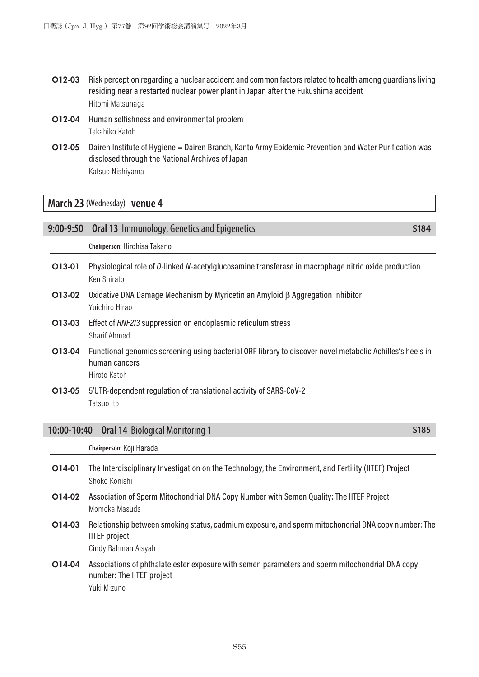- O12-03 Risk perception regarding a nuclear accident and common factors related to health among guardians living residing near a restarted nuclear power plant in Japan after the Fukushima accident Hitomi Matsunaga
- O12-04 Human selfishness and environmental problem Takahiko Katoh
- O12-05 Dairen Institute of Hygiene = Dairen Branch, Kanto Army Epidemic Prevention and Water Purification was disclosed through the National Archives of Japan Katsuo Nishiyama

# **March 23** (Wednesday) **venue 4**

| 9:00-9:50   | <b>Oral 13 Immunology, Genetics and Epigenetics</b>                                                                                                | S184 |
|-------------|----------------------------------------------------------------------------------------------------------------------------------------------------|------|
|             | Chairperson: Hirohisa Takano                                                                                                                       |      |
| O13-01      | Physiological role of 0-linked N-acetylglucosamine transferase in macrophage nitric oxide production<br>Ken Shirato                                |      |
| O13-02      | Oxidative DNA Damage Mechanism by Myricetin an Amyloid β Aggregation Inhibitor<br>Yuichiro Hirao                                                   |      |
| O13-03      | Effect of RNF213 suppression on endoplasmic reticulum stress<br><b>Sharif Ahmed</b>                                                                |      |
| O13-04      | Functional genomics screening using bacterial ORF library to discover novel metabolic Achilles's heels in<br>human cancers<br>Hiroto Katoh         |      |
| O13-05      | 5'UTR-dependent regulation of translational activity of SARS-CoV-2                                                                                 |      |
|             | Tatsuo Ito                                                                                                                                         |      |
| 10:00-10:40 | <b>Oral 14 Biological Monitoring 1</b>                                                                                                             | S185 |
|             | Chairperson: Koji Harada                                                                                                                           |      |
| O14-01      | The Interdisciplinary Investigation on the Technology, the Environment, and Fertility (IITEF) Project<br>Shoko Konishi                             |      |
| O14-02      | Association of Sperm Mitochondrial DNA Copy Number with Semen Quality: The IITEF Project<br>Momoka Masuda                                          |      |
| O14-03      | Relationship between smoking status, cadmium exposure, and sperm mitochondrial DNA copy number: The<br><b>IITEF</b> project<br>Cindy Rahman Aisyah |      |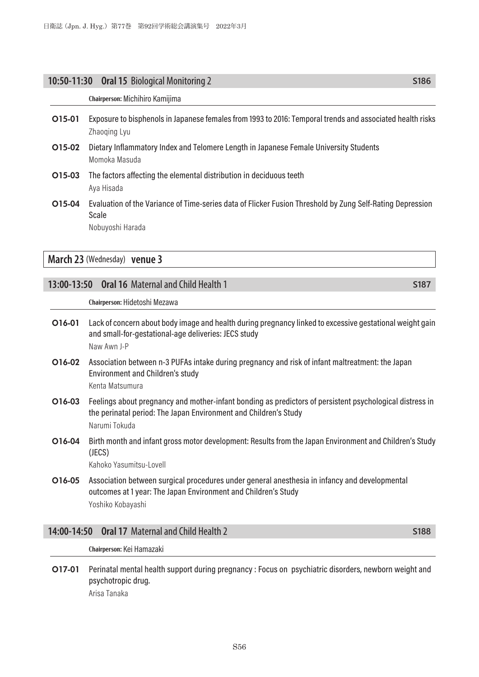#### **10:50-11:30 Oral 15** Biological Monitoring 2 **S186** S186

#### **Chairperson:** Michihiro Kamijima

- O15-01 Exposure to bisphenols in Japanese females from 1993 to 2016: Temporal trends and associated health risks Zhaoqing Lyu
- O15-02 Dietary Inflammatory Index and Telomere Length in Japanese Female University Students Momoka Masuda
- O15-03 The factors affecting the elemental distribution in deciduous teeth Aya Hisada
- O15-04 Evaluation of the Variance of Time-series data of Flicker Fusion Threshold by Zung Self-Rating Depression Scale

Nobuyoshi Harada

**March 23** (Wednesday) **venue 3**

#### **13:00-13:50 Oral 16** Maternal and Child Health 1 **S187 S187**

#### **Chairperson:** Hidetoshi Mezawa

- O16-01 Lack of concern about body image and health during pregnancy linked to excessive gestational weight gain and small-for-gestational-age deliveries: JECS study Naw Awn J-P
- O16-02 Association between n-3 PUFAs intake during pregnancy and risk of infant maltreatment: the Japan Environment and Children's study Kenta Matsumura
- O16-03 Feelings about pregnancy and mother-infant bonding as predictors of persistent psychological distress in the perinatal period: The Japan Environment and Children's Study Narumi Tokuda
- O16-04 Birth month and infant gross motor development: Results from the Japan Environment and Children's Study (JECS)

Kahoko Yasumitsu-Lovell

O16-05 Association between surgical procedures under general anesthesia in infancy and developmental outcomes at 1 year: The Japan Environment and Children's Study Yoshiko Kobayashi

#### **14:00-14:50 Oral 17** Maternal and Child Health 2 **S188** S188

**Chairperson:** Kei Hamazaki

O17-01 Perinatal mental health support during pregnancy : Focus on psychiatric disorders, newborn weight and psychotropic drug.

Arisa Tanaka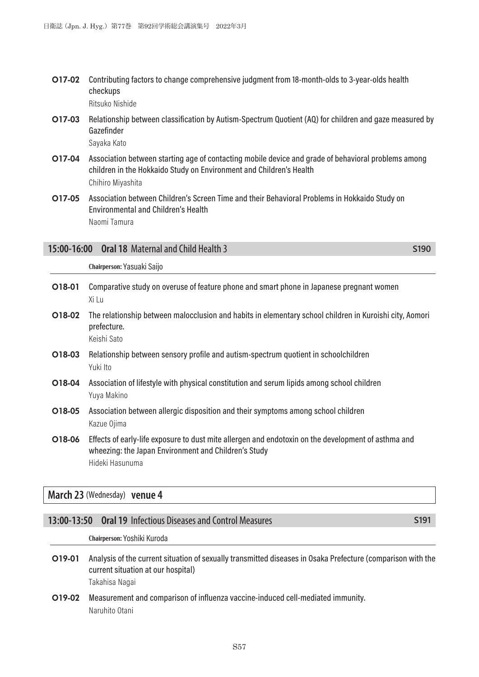O17-02 Contributing factors to change comprehensive judgment from 18-month-olds to 3-year-olds health checkups

Ritsuko Nishide

- O17-03 Relationship between classification by Autism-Spectrum Quotient (AQ) for children and gaze measured by Gazefinder Sayaka Kato
- O17-04 Association between starting age of contacting mobile device and grade of behavioral problems among children in the Hokkaido Study on Environment and Children's Health Chihiro Miyashita
- O17-05 Association between Children's Screen Time and their Behavioral Problems in Hokkaido Study on Environmental and Children's Health Naomi Tamura

#### **15:00-16:00 Oral 18** Maternal and Child Health 3 **S190** S190

**Chairperson:** Yasuaki Saijo

| O18-01 | Comparative study on overuse of feature phone and smart phone in Japanese pregnant women<br>Xi Lu                                                                              |
|--------|--------------------------------------------------------------------------------------------------------------------------------------------------------------------------------|
| O18-02 | The relationship between malocclusion and habits in elementary school children in Kuroishi city, Aomori<br>prefecture.<br>Keishi Sato                                          |
| O18-03 | Relationship between sensory profile and autism-spectrum quotient in schoolchildren<br>Yuki Ito                                                                                |
| O18-04 | Association of lifestyle with physical constitution and serum lipids among school children<br>Yuya Makino                                                                      |
| O18-05 | Association between allergic disposition and their symptoms among school children<br>Kazue Ojima                                                                               |
| O18-06 | Effects of early-life exposure to dust mite allergen and endotoxin on the development of asthma and<br>wheezing: the Japan Environment and Children's Study<br>Hideki Hasunuma |

#### **March 23** (Wednesday) **venue 4**

# **13:00-13:50 Oral 19** Infectious Diseases and Control Measures **S191 S191**

**Chairperson:** Yoshiki Kuroda

- O19-01 Analysis of the current situation of sexually transmitted diseases in Osaka Prefecture (comparison with the current situation at our hospital) Takahisa Nagai
- O19-02 Measurement and comparison of influenza vaccine-induced cell-mediated immunity. Naruhito Otani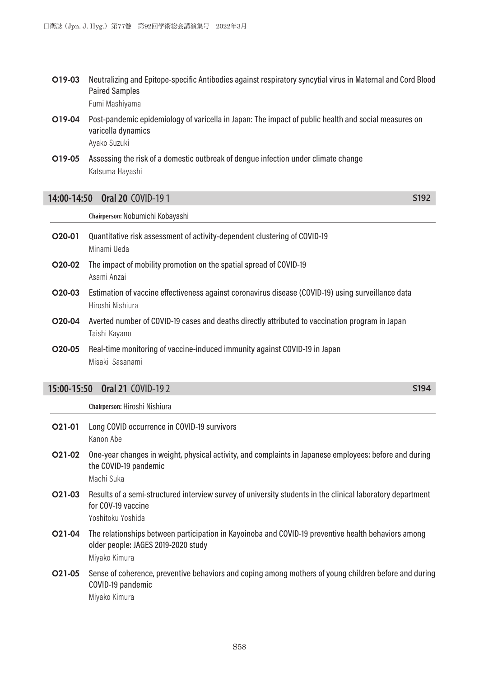- O19-03 Neutralizing and Epitope-specific Antibodies against respiratory syncytial virus in Maternal and Cord Blood Paired Samples Fumi Mashiyama
- O19-04 Post-pandemic epidemiology of varicella in Japan: The impact of public health and social measures on varicella dynamics Ayako Suzuki
- O19-05 Assessing the risk of a domestic outbreak of dengue infection under climate change Katsuma Hayashi

#### **14:00-14:50 Oral 20** COVID-19 1 **S192**

**Chairperson:** Nobumichi Kobayashi

- O20-01 Quantitative risk assessment of activity-dependent clustering of COVID-19 Minami Ueda
- O20-02 The impact of mobility promotion on the spatial spread of COVID-19 Asami Anzai
- O20-03 Estimation of vaccine effectiveness against coronavirus disease (COVID-19) using surveillance data Hiroshi Nishiura
- O20-04 Averted number of COVID-19 cases and deaths directly attributed to vaccination program in Japan Taishi Kayano
- O20-05 Real-time monitoring of vaccine-induced immunity against COVID-19 in Japan Misaki Sasanami

#### **15:00-15:50 Oral 21** COVID-19 2 **S194**

**Chairperson:** Hiroshi Nishiura

- O21-01 Long COVID occurrence in COVID-19 survivors Kanon Abe
- O21-02 One-year changes in weight, physical activity, and complaints in Japanese employees: before and during the COVID-19 pandemic Machi Suka
- O21-03 Results of a semi-structured interview survey of university students in the clinical laboratory department for COV-19 vaccine

Yoshitoku Yoshida

- O21-04 The relationships between participation in Kayoinoba and COVID-19 preventive health behaviors among older people: JAGES 2019-2020 study Miyako Kimura
- O21-05 Sense of coherence, preventive behaviors and coping among mothers of young children before and during COVID-19 pandemic Miyako Kimura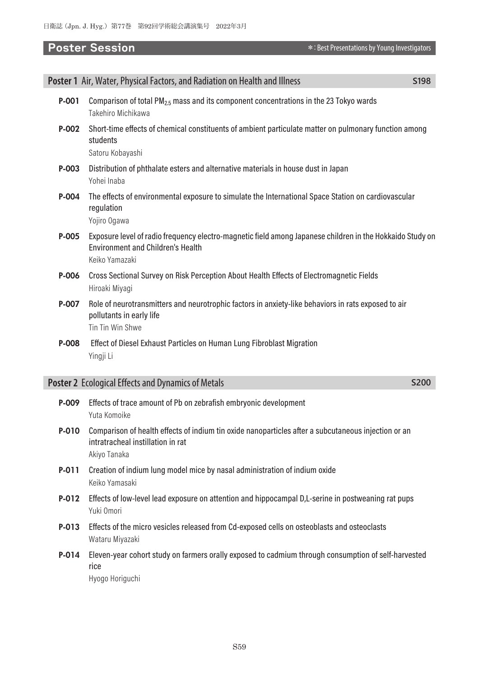|         | Poster 1 Air, Water, Physical Factors, and Radiation on Health and Illness                                                                                              | S198        |
|---------|-------------------------------------------------------------------------------------------------------------------------------------------------------------------------|-------------|
| $P-001$ | Comparison of total PM <sub>2.5</sub> mass and its component concentrations in the 23 Tokyo wards<br>Takehiro Michikawa                                                 |             |
| P-002   | Short-time effects of chemical constituents of ambient particulate matter on pulmonary function among<br>students<br>Satoru Kobayashi                                   |             |
| P-003   | Distribution of phthalate esters and alternative materials in house dust in Japan<br>Yohei Inaba                                                                        |             |
| P-004   | The effects of environmental exposure to simulate the International Space Station on cardiovascular<br>regulation<br>Yojiro Ogawa                                       |             |
| P-005   | Exposure level of radio frequency electro-magnetic field among Japanese children in the Hokkaido Study on<br><b>Environment and Children's Health</b><br>Keiko Yamazaki |             |
| P-006   | Cross Sectional Survey on Risk Perception About Health Effects of Electromagnetic Fields<br>Hiroaki Miyagi                                                              |             |
| P-007   | Role of neurotransmitters and neurotrophic factors in anxiety-like behaviors in rats exposed to air<br>pollutants in early life<br>Tin Tin Win Shwe                     |             |
| P-008   | Effect of Diesel Exhaust Particles on Human Lung Fibroblast Migration<br>Yingji Li                                                                                      |             |
|         | <b>Poster 2</b> Ecological Effects and Dynamics of Metals                                                                                                               | <b>S200</b> |
| P-009   | Effects of trace amount of Pb on zebrafish embryonic development<br>Yuta Komoike                                                                                        |             |
|         |                                                                                                                                                                         |             |

- P-010 Comparison of health effects of indium tin oxide nanoparticles after a subcutaneous injection or an intratracheal instillation in rat Akiyo Tanaka
- P-011 Creation of indium lung model mice by nasal administration of indium oxide Keiko Yamasaki
- P-012 Effects of low-level lead exposure on attention and hippocampal D,L-serine in postweaning rat pups Yuki Omori
- P-013 Effects of the micro vesicles released from Cd-exposed cells on osteoblasts and osteoclasts Wataru Miyazaki
- P-014 Eleven-year cohort study on farmers orally exposed to cadmium through consumption of self-harvested rice

Hyogo Horiguchi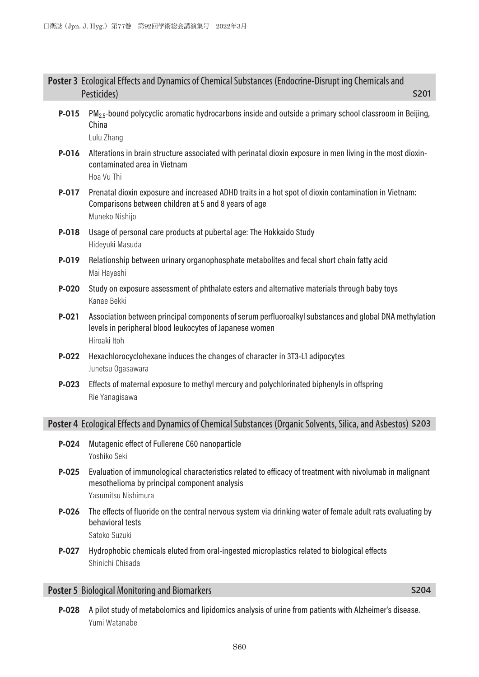|         | Poster 3 Ecological Effects and Dynamics of Chemical Substances (Endocrine-Disrupt ing Chemicals and<br>Pesticides)<br>S201                                                       |
|---------|-----------------------------------------------------------------------------------------------------------------------------------------------------------------------------------|
| P-015   | $PM2.5$ -bound polycyclic aromatic hydrocarbons inside and outside a primary school classroom in Beijing,<br>China<br>Lulu Zhang                                                  |
| P-016   | Alterations in brain structure associated with perinatal dioxin exposure in men living in the most dioxin-<br>contaminated area in Vietnam<br>Hoa Vu Thi                          |
| P-017   | Prenatal dioxin exposure and increased ADHD traits in a hot spot of dioxin contamination in Vietnam:<br>Comparisons between children at 5 and 8 years of age<br>Muneko Nishijo    |
| P-018   | Usage of personal care products at pubertal age: The Hokkaido Study<br>Hideyuki Masuda                                                                                            |
| P-019   | Relationship between urinary organophosphate metabolites and fecal short chain fatty acid<br>Mai Hayashi                                                                          |
| P-020   | Study on exposure assessment of phthalate esters and alternative materials through baby toys<br>Kanae Bekki                                                                       |
| $P-021$ | Association between principal components of serum perfluoroalkyl substances and global DNA methylation<br>levels in peripheral blood leukocytes of Japanese women<br>Hiroaki Itoh |
| P-022   | Hexachlorocyclohexane induces the changes of character in 3T3-L1 adipocytes<br>Junetsu Ogasawara                                                                                  |
| P-023   | Effects of maternal exposure to methyl mercury and polychlorinated biphenyls in offspring<br>Rie Yanagisawa                                                                       |
|         | Poster 4 Ecological Effects and Dynamics of Chemical Substances (Organic Solvents, Silica, and Asbestos) S203                                                                     |
| P-024   | Mutagenic effect of Fullerene C60 nanoparticle<br>Yoshiko Seki                                                                                                                    |
| $P-025$ | Evaluation of immunological characteristics related to efficacy of treatment with nivolumab in malignant<br>mesothelioma by principal component analysis<br>Yasumitsu Nishimura   |
| P-026   | The effects of fluoride on the central nervous system via drinking water of female adult rats evaluating by<br>behavioral tests<br>Satoko Suzuki                                  |
| P-027   | Hydrophobic chemicals eluted from oral-ingested microplastics related to biological effects<br>Shinichi Chisada                                                                   |

# **Poster 5** Biological Monitoring and Biomarkers **S204 S204**

P-028 A pilot study of metabolomics and lipidomics analysis of urine from patients with Alzheimer's disease. Yumi Watanabe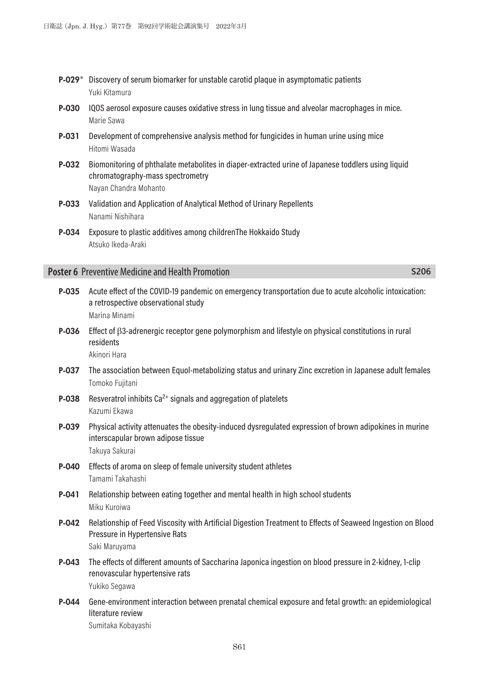- P-029\* Discovery of serum biomarker for unstable carotid plaque in asymptomatic patients Yuki Kitamura
- P-030 IQOS aerosol exposure causes oxidative stress in lung tissue and alveolar macrophages in mice. Marie Sawa
- P-031 Development of comprehensive analysis method for fungicides in human urine using mice Hitomi Wasada
- P-032 Biomonitoring of phthalate metabolites in diaper-extracted urine of Japanese toddlers using liquid chromatography-mass spectrometry Nayan Chandra Mohanto
- P-033 Validation and Application of Analytical Method of Urinary Repellents Nanami Nishihara
- P-034 Exposure to plastic additives among childrenThe Hokkaido Study Atsuko Ikeda-Araki

#### **Poster 6** Preventive Medicine and Health Promotion **S206 S206**

P-035 Acute effect of the COVID-19 pandemic on emergency transportation due to acute alcoholic intoxication: a retrospective observational study Marina Minami P-036 Effect of β3-adrenergic receptor gene polymorphism and lifestyle on physical constitutions in rural residents Akinori Hara P-037 The association between Equol-metabolizing status and urinary Zinc excretion in Japanese adult females Tomoko Fujitani **P-038** Resveratrol inhibits  $Ca^{2+}$  signals and aggregation of platelets Kazumi Ekawa P-039 Physical activity attenuates the obesity-induced dysregulated expression of brown adipokines in murine interscapular brown adipose tissue Takuya Sakurai P-040 Effects of aroma on sleep of female university student athletes Tamami Takahashi P-041 Relationship between eating together and mental health in high school students Miku Kuroiwa P-042 Relationship of Feed Viscosity with Artificial Digestion Treatment to Effects of Seaweed Ingestion on Blood Pressure in Hypertensive Rats Saki Maruyama P-043 The effects of different amounts of Saccharina Japonica ingestion on blood pressure in 2-kidney, 1-clip renovascular hypertensive rats Yukiko Segawa P-044 Gene-environment interaction between prenatal chemical exposure and fetal growth: an epidemiological literature review Sumitaka Kobayashi

S61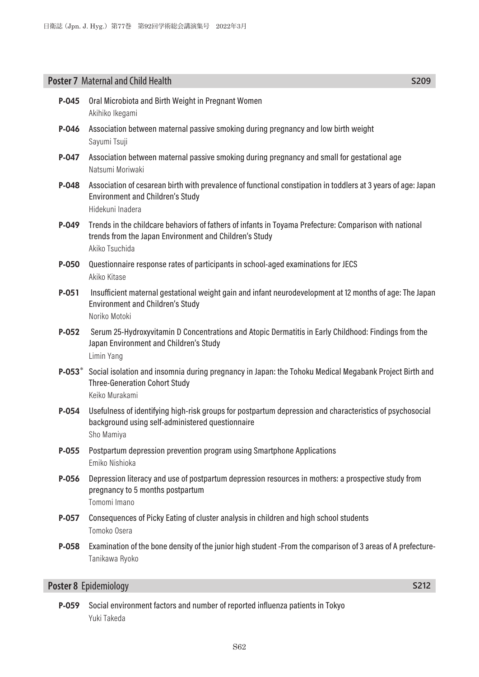# **Poster 7** Maternal and Child Health **S209**

| P-045    | Oral Microbiota and Birth Weight in Pregnant Women<br>Akihiko Ikegami                                                                                                              |
|----------|------------------------------------------------------------------------------------------------------------------------------------------------------------------------------------|
| P-046    | Association between maternal passive smoking during pregnancy and low birth weight<br>Sayumi Tsuji                                                                                 |
| P-047    | Association between maternal passive smoking during pregnancy and small for gestational age<br>Natsumi Moriwaki                                                                    |
| P-048    | Association of cesarean birth with prevalence of functional constipation in toddlers at 3 years of age: Japan<br><b>Environment and Children's Study</b><br>Hidekuni Inadera       |
| P-049    | Trends in the childcare behaviors of fathers of infants in Toyama Prefecture: Comparison with national<br>trends from the Japan Environment and Children's Study<br>Akiko Tsuchida |
| P-050    | Questionnaire response rates of participants in school-aged examinations for JECS<br>Akiko Kitase                                                                                  |
| $P-051$  | Insufficient maternal gestational weight gain and infant neurodevelopment at 12 months of age: The Japan<br><b>Environment and Children's Study</b><br>Noriko Motoki               |
| P-052    | Serum 25-Hydroxyvitamin D Concentrations and Atopic Dermatitis in Early Childhood: Findings from the<br>Japan Environment and Children's Study<br>Limin Yang                       |
| $P-053*$ | Social isolation and insomnia during pregnancy in Japan: the Tohoku Medical Megabank Project Birth and<br><b>Three-Generation Cohort Study</b><br>Keiko Murakami                   |
| P-054    | Usefulness of identifying high-risk groups for postpartum depression and characteristics of psychosocial<br>background using self-administered questionnaire<br>Sho Mamiya         |
| P-055    | Postpartum depression prevention program using Smartphone Applications<br>Emiko Nishioka                                                                                           |
| P-056    | Depression literacy and use of postpartum depression resources in mothers: a prospective study from<br>pregnancy to 5 months postpartum<br>Tomomi Imano                            |
| P-057    | Consequences of Picky Eating of cluster analysis in children and high school students<br>Tomoko Osera                                                                              |
| P-058    | Examination of the bone density of the junior high student -From the comparison of 3 areas of A prefecture-<br>Tanikawa Ryoko                                                      |
|          | Poster 8 Epidemiology<br>S212                                                                                                                                                      |

# P-059 Social environment factors and number of reported influenza patients in Tokyo Yuki Takeda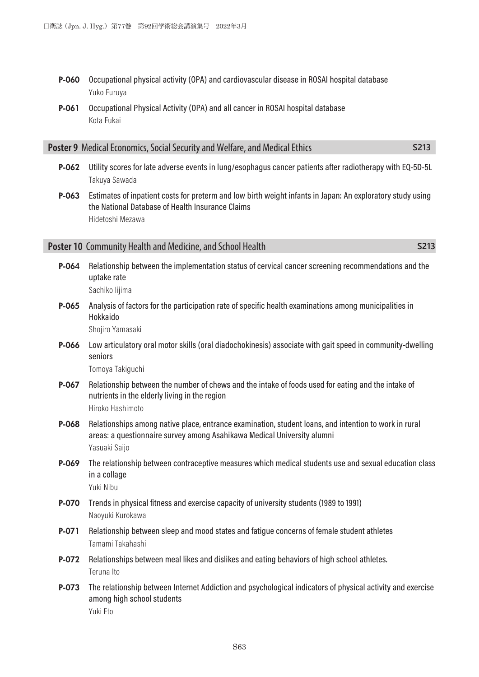- P-060 Occupational physical activity (OPA) and cardiovascular disease in ROSAI hospital database Yuko Furuya
- P-061 Occupational Physical Activity (OPA) and all cancer in ROSAI hospital database Kota Fukai

| <b>Poster 9</b> Medical Economics, Social Security and Welfare, and Medical Ethics | <b>S213</b> |
|------------------------------------------------------------------------------------|-------------|
|------------------------------------------------------------------------------------|-------------|

- P-062 Utility scores for late adverse events in lung/esophagus cancer patients after radiotherapy with EQ-5D-5L Takuya Sawada
- P-063 Estimates of inpatient costs for preterm and low birth weight infants in Japan: An exploratory study using the National Database of Health Insurance Claims Hidetoshi Mezawa

#### **Poster 10** Community Health and Medicine, and School Health **S213 S213**

P-064 Relationship between the implementation status of cervical cancer screening recommendations and the uptake rate

Sachiko Iijima

P-065 Analysis of factors for the participation rate of specific health examinations among municipalities in Hokkaido

Shojiro Yamasaki

P-066 Low articulatory oral motor skills (oral diadochokinesis) associate with gait speed in community-dwelling seniors

Tomoya Takiguchi

- P-067 Relationship between the number of chews and the intake of foods used for eating and the intake of nutrients in the elderly living in the region Hiroko Hashimoto
- P-068 Relationships among native place, entrance examination, student loans, and intention to work in rural areas: a questionnaire survey among Asahikawa Medical University alumni Yasuaki Saijo
- P-069 The relationship between contraceptive measures which medical students use and sexual education class in a collage Yuki Nibu
- P-070 Trends in physical fitness and exercise capacity of university students (1989 to 1991) Naoyuki Kurokawa
- P-071 Relationship between sleep and mood states and fatigue concerns of female student athletes Tamami Takahashi
- P-072 Relationships between meal likes and dislikes and eating behaviors of high school athletes. Teruna Ito
- P-073 The relationship between Internet Addiction and psychological indicators of physical activity and exercise among high school students Yuki Eto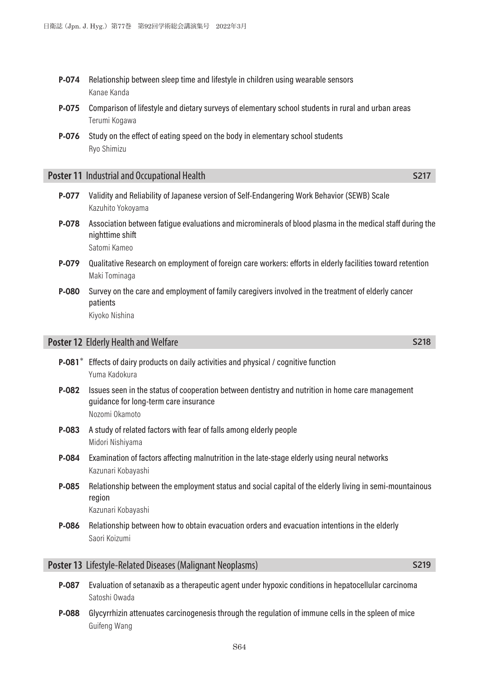- **P-074** Relationship between sleep time and lifestyle in children using wearable sensors Kanae Kanda
- P-075 Comparison of lifestyle and dietary surveys of elementary school students in rural and urban areas Terumi Kogawa
- **P-076** Study on the effect of eating speed on the body in elementary school students Ryo Shimizu

# **Poster 11** Industrial and Occupational Health **S217 S217**

- P-077 Validity and Reliability of Japanese version of Self-Endangering Work Behavior (SEWB) Scale Kazuhito Yokoyama
- P-078 Association between fatigue evaluations and microminerals of blood plasma in the medical staff during the nighttime shift Satomi Kameo
- P-079 Qualitative Research on employment of foreign care workers: efforts in elderly facilities toward retention Maki Tominaga
- P-080 Survey on the care and employment of family caregivers involved in the treatment of elderly cancer patients Kiyoko Nishina

# **Poster 12** Elderly Health and Welfare **S218**

- P-081<sup>\*</sup> Effects of dairy products on daily activities and physical / cognitive function Yuma Kadokura
- **P-082** Issues seen in the status of cooperation between dentistry and nutrition in home care management guidance for long-term care insurance Nozomi Okamoto
- P-083 A study of related factors with fear of falls among elderly people Midori Nishiyama
- **P-084** Examination of factors affecting malnutrition in the late-stage elderly using neural networks Kazunari Kobayashi
- P-085 Relationship between the employment status and social capital of the elderly living in semi-mountainous region

Kazunari Kobayashi

**P-086** Relationship between how to obtain evacuation orders and evacuation intentions in the elderly Saori Koizumi

# **Poster 13** Lifestyle-Related Diseases (Malignant Neoplasms) **S219 S219**

- P-087 Evaluation of setanaxib as a therapeutic agent under hypoxic conditions in hepatocellular carcinoma Satoshi Owada
- **P-088** Glycyrrhizin attenuates carcinogenesis through the regulation of immune cells in the spleen of mice Guifeng Wang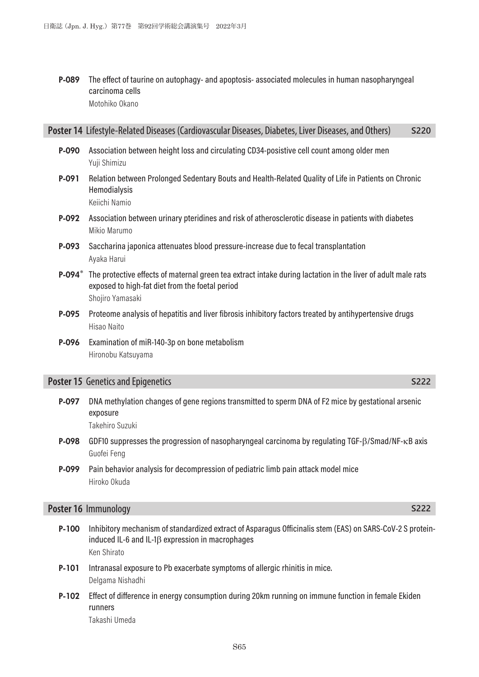P-089 The effect of taurine on autophagy- and apoptosis- associated molecules in human nasopharyngeal carcinoma cells Motohiko Okano

### **Poster 14** Lifestyle-Related Diseases (Cardiovascular Diseases, Diabetes, Liver Diseases, and Others) **S220**

- P-090 Association between height loss and circulating CD34-posistive cell count among older men Yuji Shimizu
- P-091 Relation between Prolonged Sedentary Bouts and Health-Related Quality of Life in Patients on Chronic Hemodialysis Keiichi Namio
- P-092 Association between urinary pteridines and risk of atherosclerotic disease in patients with diabetes Mikio Marumo
- P-093 Saccharina japonica attenuates blood pressure-increase due to fecal transplantation Ayaka Harui
- P-094<sup>\*</sup> The protective effects of maternal green tea extract intake during lactation in the liver of adult male rats exposed to high-fat diet from the foetal period Shojiro Yamasaki
- P-095 Proteome analysis of hepatitis and liver fibrosis inhibitory factors treated by antihypertensive drugs Hisao Naito
- P-096 Examination of miR-140-3p on bone metabolism Hironobu Katsuyama

# **Poster 15** Genetics and Epigenetics **S222**

- P-097 DNA methylation changes of gene regions transmitted to sperm DNA of F2 mice by gestational arsenic exposure Takehiro Suzuki
- P-098 GDF10 suppresses the progression of nasopharyngeal carcinoma by regulating TGF-β/Smad/NF-κB axis Guofei Feng
- P-099 Pain behavior analysis for decompression of pediatric limb pain attack model mice Hiroko Okuda

# **Poster 16** Immunology **S222**

- P-100 Inhibitory mechanism of standardized extract of Asparagus Officinalis stem (EAS) on SARS-CoV-2 S proteininduced IL-6 and IL-1β expression in macrophages Ken Shirato
- P-101 Intranasal exposure to Pb exacerbate symptoms of allergic rhinitis in mice. Delgama Nishadhi
- P-102 Effect of difference in energy consumption during 20km running on immune function in female Ekiden runners Takashi Umeda